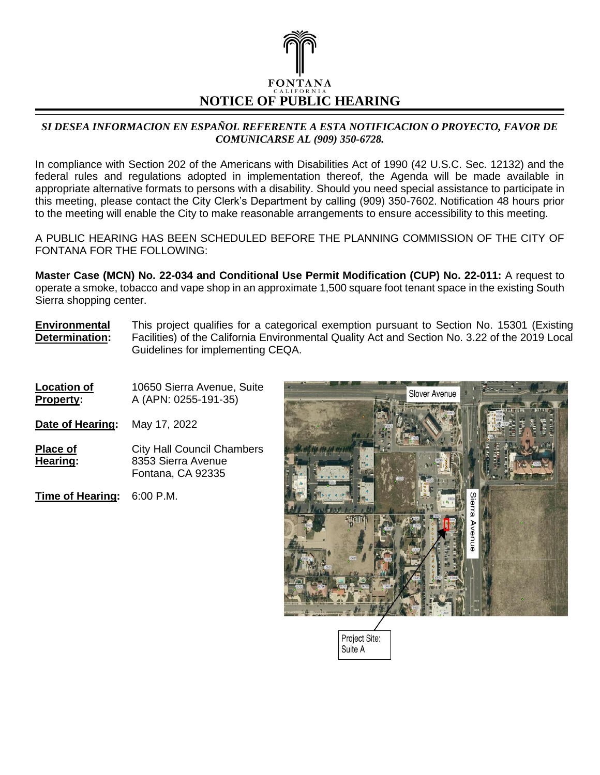

## *SI DESEA INFORMACION EN ESPAÑOL REFERENTE A ESTA NOTIFICACION O PROYECTO, FAVOR DE COMUNICARSE AL (909) 350-6728.*

In compliance with Section 202 of the Americans with Disabilities Act of 1990 (42 U.S.C. Sec. 12132) and the federal rules and regulations adopted in implementation thereof, the Agenda will be made available in appropriate alternative formats to persons with a disability. Should you need special assistance to participate in this meeting, please contact the City Clerk's Department by calling (909) 350-7602. Notification 48 hours prior to the meeting will enable the City to make reasonable arrangements to ensure accessibility to this meeting.

A PUBLIC HEARING HAS BEEN SCHEDULED BEFORE THE PLANNING COMMISSION OF THE CITY OF FONTANA FOR THE FOLLOWING:

**Master Case (MCN) No. 22-034 and Conditional Use Permit Modification (CUP) No. 22-011:** A request to operate a smoke, tobacco and vape shop in an approximate 1,500 square foot tenant space in the existing South Sierra shopping center.

**Environmental Determination:** This project qualifies for a categorical exemption pursuant to Section No. 15301 (Existing Facilities) of the California Environmental Quality Act and Section No. 3.22 of the 2019 Local Guidelines for implementing CEQA.

**Location of Property:** 10650 Sierra Avenue, Suite A (APN: 0255-191-35) **Date of Hearing:** May 17, 2022 **Place of Hearing:** City Hall Council Chambers 8353 Sierra Avenue Fontana, CA 92335 **Time of Hearing:** 6:00 P.M.



Project Site: Suite A